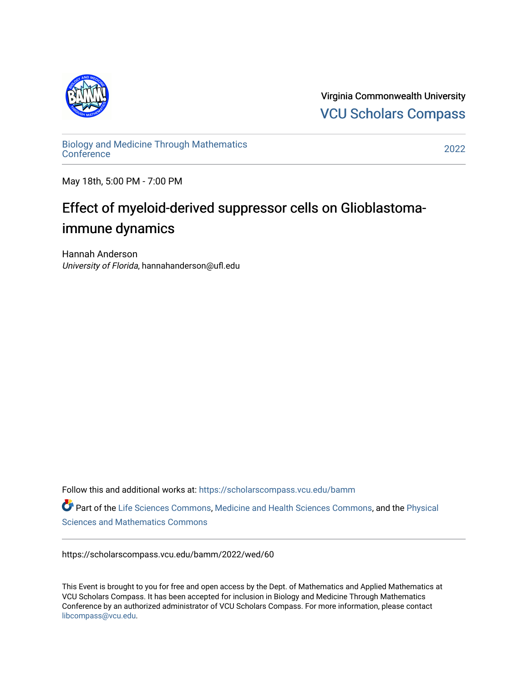

Virginia Commonwealth University [VCU Scholars Compass](https://scholarscompass.vcu.edu/) 

[Biology and Medicine Through Mathematics](https://scholarscompass.vcu.edu/bamm)  [Conference](https://scholarscompass.vcu.edu/bamm) [2022](https://scholarscompass.vcu.edu/bamm/2022) 

May 18th, 5:00 PM - 7:00 PM

## Effect of myeloid-derived suppressor cells on Glioblastomaimmune dynamics

Hannah Anderson University of Florida, hannahanderson@ufl.edu

Follow this and additional works at: [https://scholarscompass.vcu.edu/bamm](https://scholarscompass.vcu.edu/bamm?utm_source=scholarscompass.vcu.edu%2Fbamm%2F2022%2Fwed%2F60&utm_medium=PDF&utm_campaign=PDFCoverPages)

Part of the [Life Sciences Commons,](http://network.bepress.com/hgg/discipline/1016?utm_source=scholarscompass.vcu.edu%2Fbamm%2F2022%2Fwed%2F60&utm_medium=PDF&utm_campaign=PDFCoverPages) [Medicine and Health Sciences Commons,](http://network.bepress.com/hgg/discipline/648?utm_source=scholarscompass.vcu.edu%2Fbamm%2F2022%2Fwed%2F60&utm_medium=PDF&utm_campaign=PDFCoverPages) and the [Physical](http://network.bepress.com/hgg/discipline/114?utm_source=scholarscompass.vcu.edu%2Fbamm%2F2022%2Fwed%2F60&utm_medium=PDF&utm_campaign=PDFCoverPages)  [Sciences and Mathematics Commons](http://network.bepress.com/hgg/discipline/114?utm_source=scholarscompass.vcu.edu%2Fbamm%2F2022%2Fwed%2F60&utm_medium=PDF&utm_campaign=PDFCoverPages) 

https://scholarscompass.vcu.edu/bamm/2022/wed/60

This Event is brought to you for free and open access by the Dept. of Mathematics and Applied Mathematics at VCU Scholars Compass. It has been accepted for inclusion in Biology and Medicine Through Mathematics Conference by an authorized administrator of VCU Scholars Compass. For more information, please contact [libcompass@vcu.edu.](mailto:libcompass@vcu.edu)